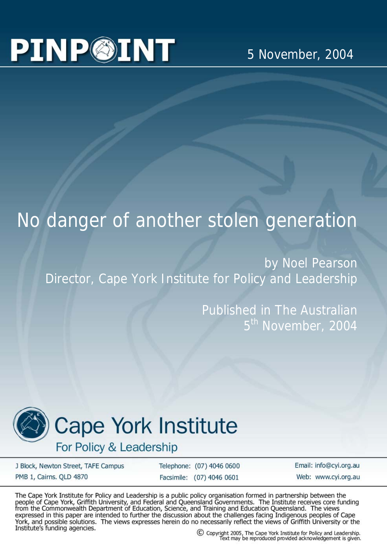## **PINP@INT**

## No danger of another stolen generation

by Noel Pearson Director, Cape York Institute for Policy and Leadership

> Published in The Australian 5<sup>th</sup> November, 2004



## **Cape York Institute**

For Policy & Leadership

J Block, Newton Street, TAFE Campus PMB 1, Cairns. QLD 4870

Telephone: (07) 4046 0600 Facsimile: (07) 4046 0601

Email: info@cyi.org.au Web: www.cvi.org.au

The Cape York Institute for Policy and Leadership is a public policy organisation formed in partnership between the people of Cape York, Griffith University, and Federal and Queensland Governments. The Institute receives core funding<br>from the Commonwealth Department of Education, Science, and Training and Education Queensland. The views expressed in this paper are intended to further the discussion about the challenges facing Indigenous peoples of Cape York, and possible solutions. The views expresses herein do no necessarily reflect the views of Griffith University or the Institute's funding agencies.

C Copyright 2005, The Cape York Institute for Policy and Leadership. Text may be reproduced provided acknowledgement is given.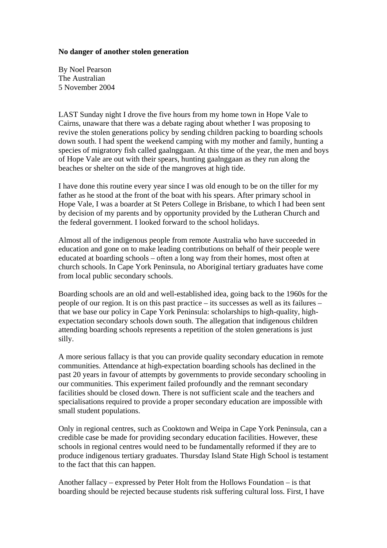## **No danger of another stolen generation**

By Noel Pearson The Australian 5 November 2004

LAST Sunday night I drove the five hours from my home town in Hope Vale to Cairns, unaware that there was a debate raging about whether I was proposing to revive the stolen generations policy by sending children packing to boarding schools down south. I had spent the weekend camping with my mother and family, hunting a species of migratory fish called gaalnggaan. At this time of the year, the men and boys of Hope Vale are out with their spears, hunting gaalnggaan as they run along the beaches or shelter on the side of the mangroves at high tide.

I have done this routine every year since I was old enough to be on the tiller for my father as he stood at the front of the boat with his spears. After primary school in Hope Vale, I was a boarder at St Peters College in Brisbane, to which I had been sent by decision of my parents and by opportunity provided by the Lutheran Church and the federal government. I looked forward to the school holidays.

Almost all of the indigenous people from remote Australia who have succeeded in education and gone on to make leading contributions on behalf of their people were educated at boarding schools – often a long way from their homes, most often at church schools. In Cape York Peninsula, no Aboriginal tertiary graduates have come from local public secondary schools.

Boarding schools are an old and well-established idea, going back to the 1960s for the people of our region. It is on this past practice – its successes as well as its failures – that we base our policy in Cape York Peninsula: scholarships to high-quality, highexpectation secondary schools down south. The allegation that indigenous children attending boarding schools represents a repetition of the stolen generations is just silly.

A more serious fallacy is that you can provide quality secondary education in remote communities. Attendance at high-expectation boarding schools has declined in the past 20 years in favour of attempts by governments to provide secondary schooling in our communities. This experiment failed profoundly and the remnant secondary facilities should be closed down. There is not sufficient scale and the teachers and specialisations required to provide a proper secondary education are impossible with small student populations.

Only in regional centres, such as Cooktown and Weipa in Cape York Peninsula, can a credible case be made for providing secondary education facilities. However, these schools in regional centres would need to be fundamentally reformed if they are to produce indigenous tertiary graduates. Thursday Island State High School is testament to the fact that this can happen.

Another fallacy – expressed by Peter Holt from the Hollows Foundation – is that boarding should be rejected because students risk suffering cultural loss. First, I have